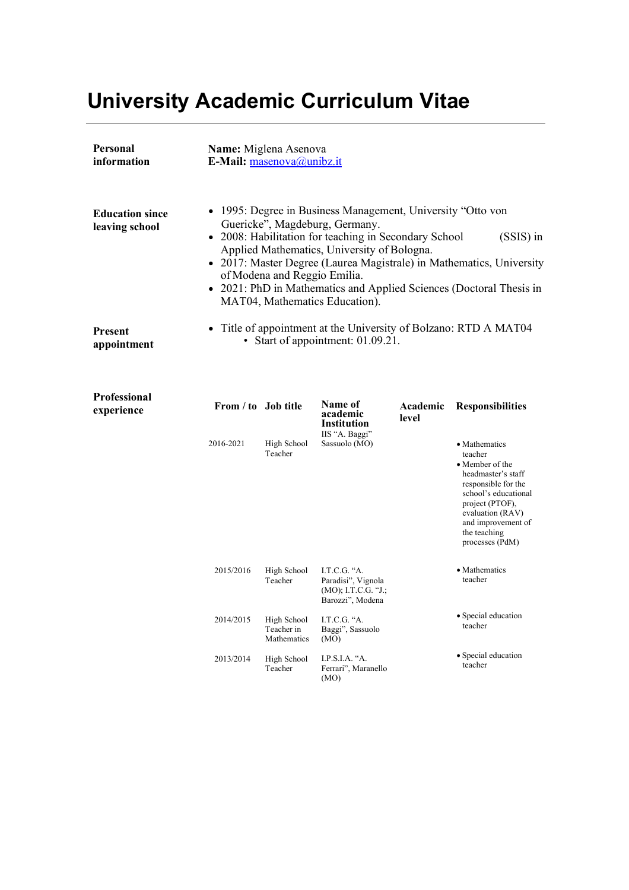# **University Academic Curriculum Vitae**

| Personal<br>information                  |                                                                                                                                                                                                                                                                                                                                                                                                                                                  | Name: Miglena Asenova<br>E-Mail: masenova@unibz.it |                                    |                   |                                                                                                                                                                                                                          |  |  |  |  |
|------------------------------------------|--------------------------------------------------------------------------------------------------------------------------------------------------------------------------------------------------------------------------------------------------------------------------------------------------------------------------------------------------------------------------------------------------------------------------------------------------|----------------------------------------------------|------------------------------------|-------------------|--------------------------------------------------------------------------------------------------------------------------------------------------------------------------------------------------------------------------|--|--|--|--|
| <b>Education since</b><br>leaving school | 1995: Degree in Business Management, University "Otto von<br>$\bullet$<br>Guericke", Magdeburg, Germany.<br>• 2008: Habilitation for teaching in Secondary School<br>$(SSIS)$ in<br>Applied Mathematics, University of Bologna.<br>• 2017: Master Degree (Laurea Magistrale) in Mathematics, University<br>of Modena and Reggio Emilia.<br>• 2021: PhD in Mathematics and Applied Sciences (Doctoral Thesis in<br>MAT04, Mathematics Education). |                                                    |                                    |                   |                                                                                                                                                                                                                          |  |  |  |  |
| <b>Present</b><br>appointment            | • Title of appointment at the University of Bolzano: RTD A MAT04<br>• Start of appointment: 01.09.21.                                                                                                                                                                                                                                                                                                                                            |                                                    |                                    |                   |                                                                                                                                                                                                                          |  |  |  |  |
| <b>Professional</b><br>experience        | From / to Job title                                                                                                                                                                                                                                                                                                                                                                                                                              |                                                    | Name of<br>academic<br>Institution | Academic<br>level | <b>Responsibilities</b>                                                                                                                                                                                                  |  |  |  |  |
|                                          | 2016-2021                                                                                                                                                                                                                                                                                                                                                                                                                                        | High School<br>Teacher                             | IIS "A. Baggi"<br>Sassuolo (MO)    |                   | • Mathematics<br>teacher<br>$\bullet$ Member of the<br>headmaster's staff<br>responsible for the<br>school's educational<br>project (PTOF),<br>evaluation (RAV)<br>and improvement of<br>the teaching<br>processes (PdM) |  |  |  |  |

2015/2016

High School Teacher

I.T.C.G. "A. Paradisi", Vignola (MO); I.T.C.G. "J.; Barozzi", Modena

I.T.C.G. "A. Baggi", Sassuolo

I.P.S.I.A. "A. Ferrari", Maranello

(MO)

(MO)

High School Teacher in Mathematics High School Teacher

2014/2015

2013/2014

- Mathematics teacher
- Special education teacher
	- Special education teacher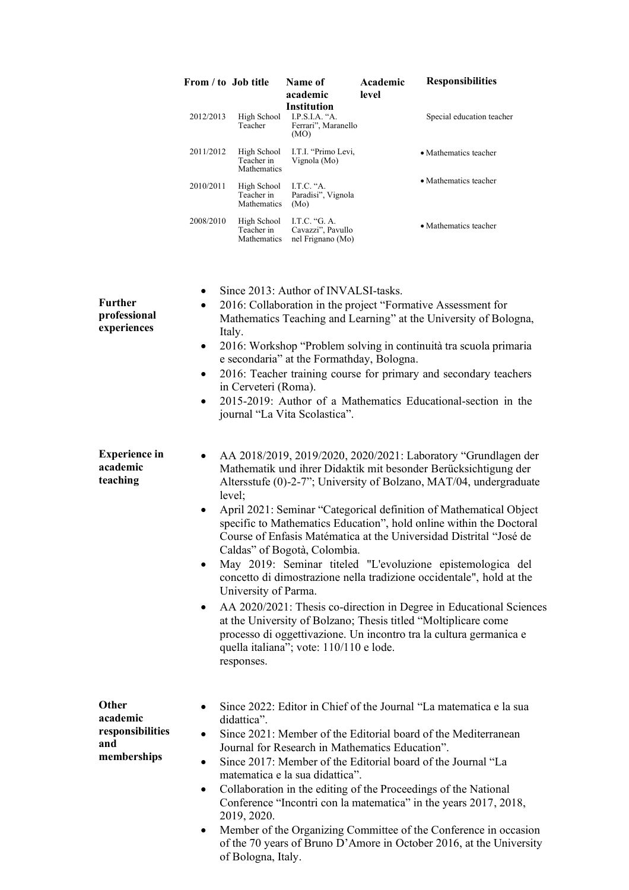|                                                             | From / to Job title                                                                                                                                                                                                                                                                                                                                                                                                                                                                                                                                                                                                                                                                                                                                                                                                                                                                                                                  |                                                  | Name of<br>academic<br><b>Institution</b>                                                                          | Academic<br>level | <b>Responsibilities</b>                                                                                                                                                                                                                                                                                                                                                                                                                                                                |  |
|-------------------------------------------------------------|--------------------------------------------------------------------------------------------------------------------------------------------------------------------------------------------------------------------------------------------------------------------------------------------------------------------------------------------------------------------------------------------------------------------------------------------------------------------------------------------------------------------------------------------------------------------------------------------------------------------------------------------------------------------------------------------------------------------------------------------------------------------------------------------------------------------------------------------------------------------------------------------------------------------------------------|--------------------------------------------------|--------------------------------------------------------------------------------------------------------------------|-------------------|----------------------------------------------------------------------------------------------------------------------------------------------------------------------------------------------------------------------------------------------------------------------------------------------------------------------------------------------------------------------------------------------------------------------------------------------------------------------------------------|--|
|                                                             | 2012/2013                                                                                                                                                                                                                                                                                                                                                                                                                                                                                                                                                                                                                                                                                                                                                                                                                                                                                                                            | Teacher                                          | High School I.P.S.I.A. "A.<br>Ferrari", Maranello<br>(MO)                                                          |                   | Special education teacher                                                                                                                                                                                                                                                                                                                                                                                                                                                              |  |
|                                                             | 2011/2012                                                                                                                                                                                                                                                                                                                                                                                                                                                                                                                                                                                                                                                                                                                                                                                                                                                                                                                            | High School<br>Teacher in<br>Mathematics         | I.T.I. "Primo Levi,<br>Vignola (Mo)                                                                                |                   | • Mathematics teacher                                                                                                                                                                                                                                                                                                                                                                                                                                                                  |  |
|                                                             | 2010/2011                                                                                                                                                                                                                                                                                                                                                                                                                                                                                                                                                                                                                                                                                                                                                                                                                                                                                                                            | High School<br>Teacher in<br>Mathematics         | I.T.C. "A.<br>Paradisi", Vignola<br>(Mo)                                                                           |                   | • Mathematics teacher                                                                                                                                                                                                                                                                                                                                                                                                                                                                  |  |
|                                                             | 2008/2010                                                                                                                                                                                                                                                                                                                                                                                                                                                                                                                                                                                                                                                                                                                                                                                                                                                                                                                            | High School<br>Teacher in                        | I.T.C. "G. A.<br>Cavazzi", Pavullo<br>Mathematics nel Frignano (Mo)                                                |                   | • Mathematics teacher                                                                                                                                                                                                                                                                                                                                                                                                                                                                  |  |
| <b>Further</b><br>professional<br>experiences               | $\bullet$<br>٠<br>$\bullet$                                                                                                                                                                                                                                                                                                                                                                                                                                                                                                                                                                                                                                                                                                                                                                                                                                                                                                          | Italy.<br>in Cerveteri (Roma).                   | Since 2013: Author of INVALSI-tasks.<br>e secondaria" at the Formathday, Bologna.<br>journal "La Vita Scolastica". |                   | 2016: Collaboration in the project "Formative Assessment for<br>Mathematics Teaching and Learning" at the University of Bologna,<br>2016: Workshop "Problem solving in continuità tra scuola primaria<br>2016: Teacher training course for primary and secondary teachers<br>2015-2019: Author of a Mathematics Educational-section in the                                                                                                                                             |  |
| <b>Experience</b> in<br>academic<br>teaching                | AA 2018/2019, 2019/2020, 2020/2021: Laboratory "Grundlagen der<br>Mathematik und ihrer Didaktik mit besonder Berücksichtigung der<br>Altersstufe (0)-2-7"; University of Bolzano, MAT/04, undergraduate<br>level;<br>April 2021: Seminar "Categorical definition of Mathematical Object<br>$\bullet$<br>specific to Mathematics Education", hold online within the Doctoral<br>Course of Enfasis Matématica at the Universidad Distrital "José de<br>Caldas" of Bogotà, Colombia.<br>May 2019: Seminar titeled "L'evoluzione epistemologica del<br>concetto di dimostrazione nella tradizione occidentale", hold at the<br>University of Parma.<br>AA 2020/2021: Thesis co-direction in Degree in Educational Sciences<br>$\bullet$<br>at the University of Bolzano; Thesis titled "Moltiplicare come<br>processo di oggettivazione. Un incontro tra la cultura germanica e<br>quella italiana"; vote: 110/110 e lode.<br>responses. |                                                  |                                                                                                                    |                   |                                                                                                                                                                                                                                                                                                                                                                                                                                                                                        |  |
| Other<br>academic<br>responsibilities<br>and<br>memberships | ٠<br>$\bullet$<br>$\bullet$<br>$\bullet$                                                                                                                                                                                                                                                                                                                                                                                                                                                                                                                                                                                                                                                                                                                                                                                                                                                                                             | didattica".<br>2019, 2020.<br>of Bologna, Italy. | Journal for Research in Mathematics Education".<br>matematica e la sua didattica".                                 |                   | Since 2022: Editor in Chief of the Journal "La matematica e la sua<br>Since 2021: Member of the Editorial board of the Mediterranean<br>Since 2017: Member of the Editorial board of the Journal "La<br>Collaboration in the editing of the Proceedings of the National<br>Conference "Incontri con la matematica" in the years 2017, 2018,<br>Member of the Organizing Committee of the Conference in occasion<br>of the 70 years of Bruno D'Amore in October 2016, at the University |  |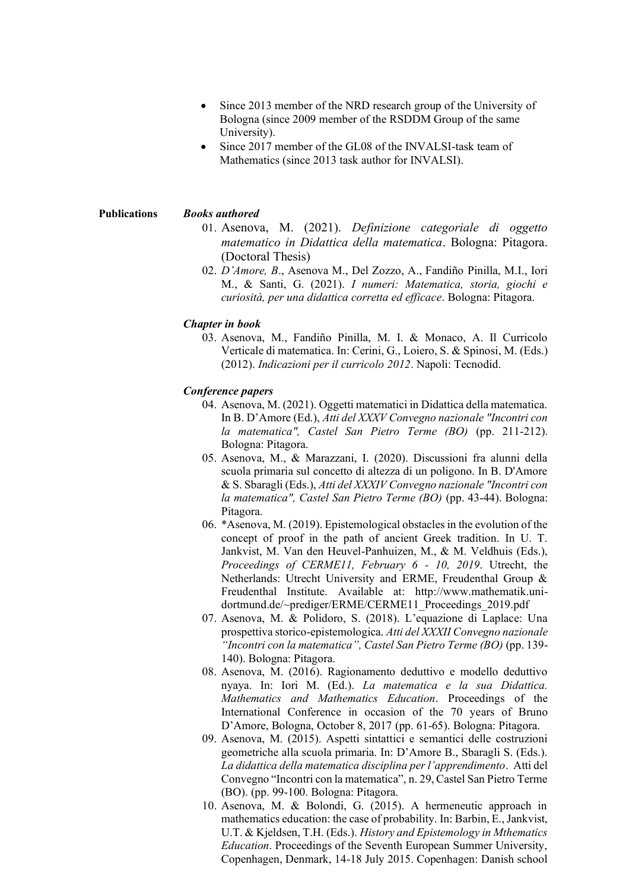- Since 2013 member of the NRD research group of the University of Bologna (since 2009 member of the RSDDM Group of the same University).
- Since 2017 member of the GL08 of the INVALSI-task team of Mathematics (since 2013 task author for INVALSI).

## **Publications** *Books authored*

- 01. Asenova, M. (2021). *Definizione categoriale di oggetto matematico in Didattica della matematica*. Bologna: Pitagora. (Doctoral Thesis)
- 02. *D'Amore, B*., Asenova M., Del Zozzo, A., Fandiño Pinilla, M.I., Iori M., & Santi, G. (2021). *I numeri: Matematica, storia, giochi e curiosità, per una didattica corretta ed efficace*. Bologna: Pitagora.

## *Chapter in book*

03. Asenova, M., Fandiño Pinilla, M. I. & Monaco, A. Il Curricolo Verticale di matematica. In: Cerini, G., Loiero, S. & Spinosi, M. (Eds.) (2012). *Indicazioni per il curricolo 2012*. Napoli: Tecnodid.

## *Conference papers*

- 04. Asenova, M. (2021). Oggetti matematici in Didattica della matematica. In B. D'Amore (Ed.), *Atti del XXXV Convegno nazionale "Incontri con la matematica", Castel San Pietro Terme (BO)* (pp. 211-212). Bologna: Pitagora.
- 05. Asenova, M., & Marazzani, I. (2020). Discussioni fra alunni della scuola primaria sul concetto di altezza di un poligono. In B. D'Amore & S. Sbaragli (Eds.), *Atti del XXXIV Convegno nazionale "Incontri con la matematica", Castel San Pietro Terme (BO)* (pp. 43-44). Bologna: Pitagora.
- 06. \*Asenova, M. (2019). Epistemological obstacles in the evolution of the concept of proof in the path of ancient Greek tradition. In U. T. Jankvist, M. Van den Heuvel-Panhuizen, M., & M. Veldhuis (Eds.), *Proceedings of CERME11, February 6 - 10, 2019*. Utrecht, the Netherlands: Utrecht University and ERME, Freudenthal Group & Freudenthal Institute. Available at: http://www.mathematik.unidortmund.de/~prediger/ERME/CERME11\_Proceedings\_2019.pdf
- 07. Asenova, M. & Polidoro, S. (2018). L'equazione di Laplace: Una prospettiva storico-epistemologica. *Atti del XXXII Convegno nazionale "Incontri con la matematica", Castel San Pietro Terme (BO)* (pp. 139- 140). Bologna: Pitagora.
- 08. Asenova, M. (2016). Ragionamento deduttivo e modello deduttivo nyaya. In: Iori M. (Ed.). *La matematica e la sua Didattica. Mathematics and Mathematics Education*. Proceedings of the International Conference in occasion of the 70 years of Bruno D'Amore, Bologna, October 8, 2017 (pp. 61-65). Bologna: Pitagora.
- 09. Asenova, M. (2015). Aspetti sintattici e semantici delle costruzioni geometriche alla scuola primaria. In: D'Amore B., Sbaragli S. (Eds.). *La didattica della matematica disciplina per l'apprendimento*. Atti del Convegno "Incontri con la matematica", n. 29, Castel San Pietro Terme (BO). (pp. 99-100. Bologna: Pitagora.
- 10. Asenova, M. & Bolondi, G. (2015). A hermeneutic approach in mathematics education: the case of probability. In: Barbin, E., Jankvist, U.T. & Kjeldsen, T.H. (Eds.). *History and Epistemology in Mthematics Education*. Proceedings of the Seventh European Summer University, Copenhagen, Denmark, 14-18 July 2015. Copenhagen: Danish school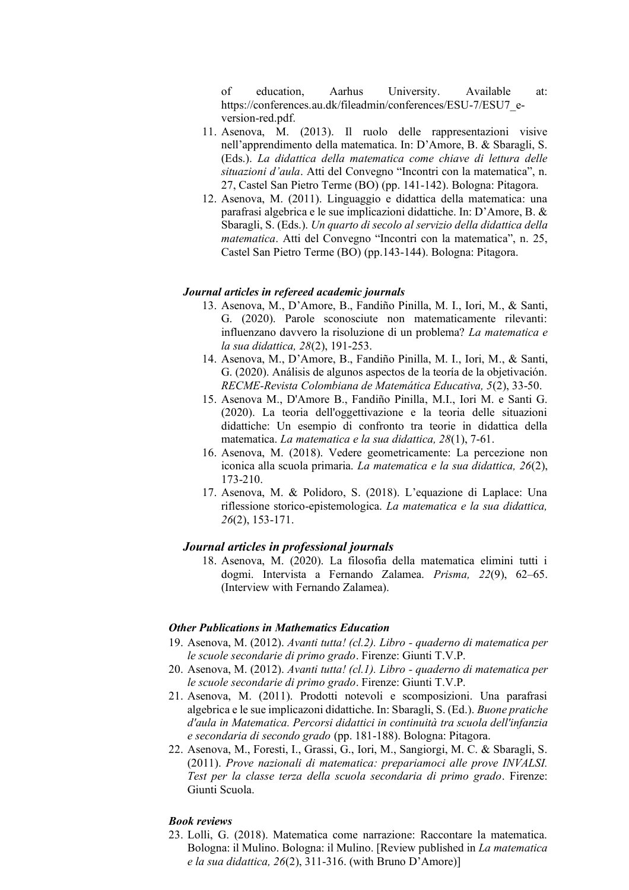of education, Aarhus University. Available at: https://conferences.au.dk/fileadmin/conferences/ESU-7/ESU7\_eversion-red.pdf.

- 11. Asenova, M. (2013). Il ruolo delle rappresentazioni visive nell'apprendimento della matematica. In: D'Amore, B. & Sbaragli, S. (Eds.). *La didattica della matematica come chiave di lettura delle situazioni d'aula*. Atti del Convegno "Incontri con la matematica", n. 27, Castel San Pietro Terme (BO) (pp. 141-142). Bologna: Pitagora.
- 12. Asenova, M. (2011). Linguaggio e didattica della matematica: una parafrasi algebrica e le sue implicazioni didattiche. In: D'Amore, B. & Sbaragli, S. (Eds.). *Un quarto di secolo al servizio della didattica della matematica*. Atti del Convegno "Incontri con la matematica", n. 25, Castel San Pietro Terme (BO) (pp.143-144). Bologna: Pitagora.

# *Journal articles in refereed academic journals*

- 13. Asenova, M., D'Amore, B., Fandiño Pinilla, M. I., Iori, M., & Santi, G. (2020). Parole sconosciute non matematicamente rilevanti: influenzano davvero la risoluzione di un problema? *La matematica e la sua didattica, 28*(2), 191-253.
- 14. Asenova, M., D'Amore, B., Fandiño Pinilla, M. I., Iori, M., & Santi, G. (2020). Análisis de algunos aspectos de la teoría de la objetivación. *RECME-Revista Colombiana de Matemática Educativa, 5*(2), 33-50.
- 15. Asenova M., D'Amore B., Fandiño Pinilla, M.I., Iori M. e Santi G. (2020). La teoria dell'oggettivazione e la teoria delle situazioni didattiche: Un esempio di confronto tra teorie in didattica della matematica. *La matematica e la sua didattica, 28*(1), 7-61.
- 16. Asenova, M. (2018). Vedere geometricamente: La percezione non iconica alla scuola primaria. *La matematica e la sua didattica, 26*(2), 173-210.
- 17. Asenova, M. & Polidoro, S. (2018). L'equazione di Laplace: Una riflessione storico-epistemologica. *La matematica e la sua didattica, 26*(2), 153-171.

## *Journal articles in professional journals*

18. Asenova, M. (2020). La filosofia della matematica elimini tutti i dogmi. Intervista a Fernando Zalamea. *Prisma, 22*(9), 62–65. (Interview with Fernando Zalamea).

## *Other Publications in Mathematics Education*

- 19. Asenova, M. (2012). *Avanti tutta! (cl.2). Libro - quaderno di matematica per le scuole secondarie di primo grado*. Firenze: Giunti T.V.P.
- 20. Asenova, M. (2012). *Avanti tutta! (cl.1). Libro - quaderno di matematica per le scuole secondarie di primo grado*. Firenze: Giunti T.V.P.
- 21. Asenova, M. (2011). Prodotti notevoli e scomposizioni. Una parafrasi algebrica e le sue implicazoni didattiche. In: Sbaragli, S. (Ed.). *Buone pratiche d'aula in Matematica. Percorsi didattici in continuità tra scuola dell'infanzia e secondaria di secondo grado* (pp. 181-188). Bologna: Pitagora.
- 22. Asenova, M., Foresti, I., Grassi, G., Iori, M., Sangiorgi, M. C. & Sbaragli, S. (2011). *Prove nazionali di matematica: prepariamoci alle prove INVALSI. Test per la classe terza della scuola secondaria di primo grado*. Firenze: Giunti Scuola.

#### *Book reviews*

23. Lolli, G. (2018). Matematica come narrazione: Raccontare la matematica. Bologna: il Mulino. Bologna: il Mulino. [Review published in *La matematica e la sua didattica, 26*(2), 311-316. (with Bruno D'Amore)]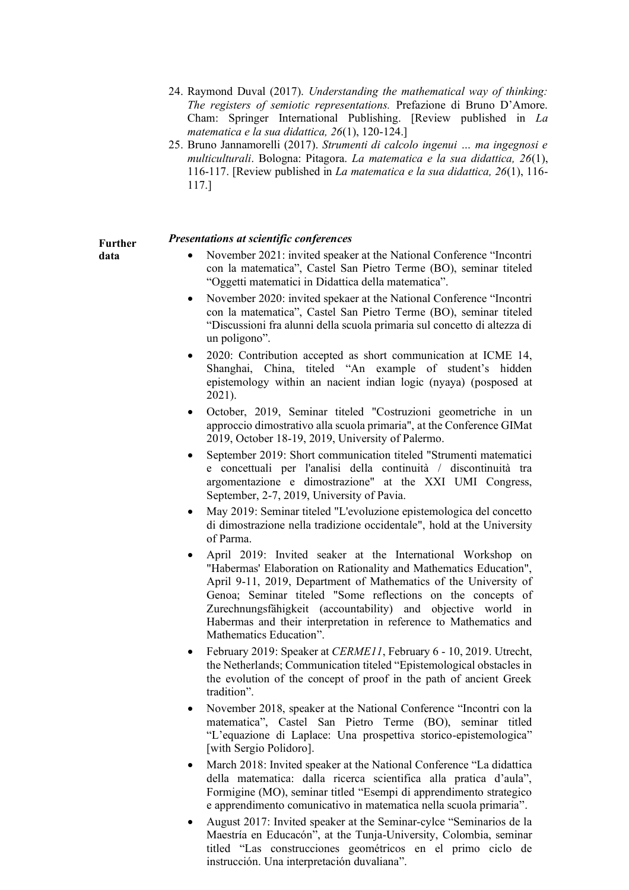- 24. Raymond Duval (2017). *Understanding the mathematical way of thinking: The registers of semiotic representations.* Prefazione di Bruno D'Amore. Cham: Springer International Publishing. [Review published in *La matematica e la sua didattica, 26*(1), 120-124.]
- 25. Bruno Jannamorelli (2017). *Strumenti di calcolo ingenui … ma ingegnosi e multiculturali*. Bologna: Pitagora. *La matematica e la sua didattica, 26*(1), 116-117. [Review published in *La matematica e la sua didattica, 26*(1), 116- 117.]

## *Presentations at scientific conferences*

**Further data**

- November 2021: invited speaker at the National Conference "Incontri con la matematica", Castel San Pietro Terme (BO), seminar titeled "Oggetti matematici in Didattica della matematica".
- November 2020: invited spekaer at the National Conference "Incontri con la matematica", Castel San Pietro Terme (BO), seminar titeled "Discussioni fra alunni della scuola primaria sul concetto di altezza di un poligono".
- 2020: Contribution accepted as short communication at ICME 14, Shanghai, China, titeled "An example of student's hidden epistemology within an nacient indian logic (nyaya) (posposed at 2021).
- October, 2019, Seminar titeled "Costruzioni geometriche in un approccio dimostrativo alla scuola primaria", at the Conference GIMat 2019, October 18-19, 2019, University of Palermo.
- September 2019: Short communication titeled "Strumenti matematici e concettuali per l'analisi della continuità / discontinuità tra argomentazione e dimostrazione" at the XXI UMI Congress, September, 2-7, 2019, University of Pavia.
- May 2019: Seminar titeled "L'evoluzione epistemologica del concetto di dimostrazione nella tradizione occidentale", hold at the University of Parma.
- April 2019: Invited seaker at the International Workshop on "Habermas' Elaboration on Rationality and Mathematics Education", April 9-11, 2019, Department of Mathematics of the University of Genoa; Seminar titeled "Some reflections on the concepts of Zurechnungsfähigkeit (accountability) and objective world in Habermas and their interpretation in reference to Mathematics and Mathematics Education".
- February 2019: Speaker at *CERME11*, February 6 10, 2019. Utrecht, the Netherlands; Communication titeled "Epistemological obstacles in the evolution of the concept of proof in the path of ancient Greek tradition".
- November 2018, speaker at the National Conference "Incontri con la matematica", Castel San Pietro Terme (BO), seminar titled "L'equazione di Laplace: Una prospettiva storico-epistemologica" [with Sergio Polidoro].
- March 2018: Invited speaker at the National Conference "La didattica della matematica: dalla ricerca scientifica alla pratica d'aula", Formigine (MO), seminar titled "Esempi di apprendimento strategico e apprendimento comunicativo in matematica nella scuola primaria".
- August 2017: Invited speaker at the Seminar-cylce "Seminarios de la Maestría en Educacón", at the Tunja-University, Colombia, seminar titled "Las construcciones geométricos en el primo ciclo de instrucción. Una interpretación duvaliana".